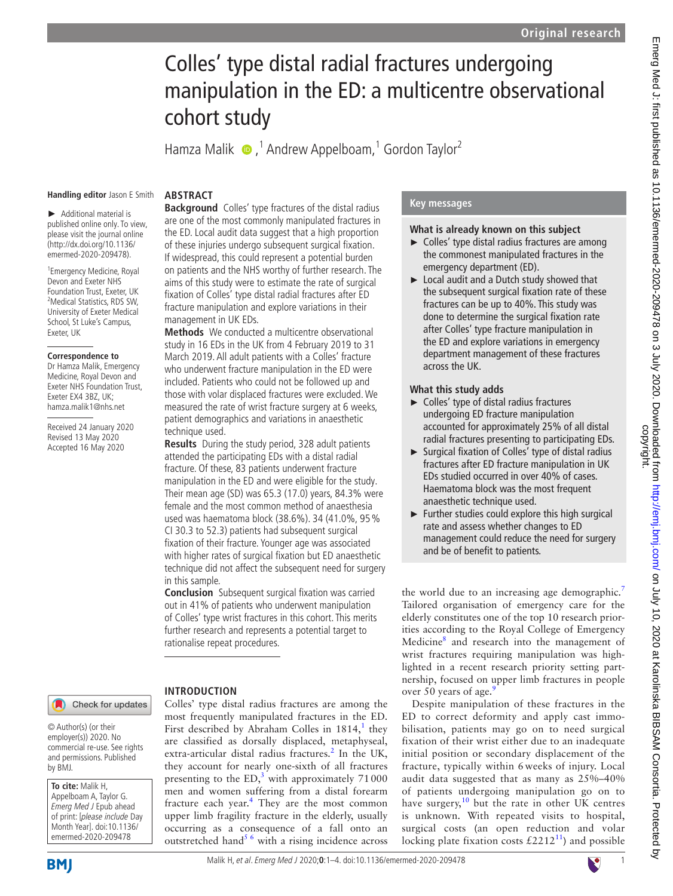# Colles' type distal radial fractures undergoing manipulation in the ED: a multicentre observational cohort study

Hamza Malik  $\bullet$ ,<sup>1</sup> Andrew Appelboam,<sup>1</sup> Gordon Taylor<sup>2</sup>

#### **Handling editor** Jason E Smith

**Abstract**

► Additional material is published online only. To view, please visit the journal online (http://dx.doi.org/10.1136/

1 Emergency Medicine, Royal Devon and Exeter NHS Foundation Trust, Exeter, UK 2 Medical Statistics, RDS SW, University of Exeter Medical School, St Luke's Campus, Exeter, UK

emermed-2020-209478).

#### **Correspondence to**

Dr Hamza Malik, Emergency Medicine, Royal Devon and Exeter NHS Foundation Trust, Exeter EX4 3BZ, UK; hamza.malik1@nhs.net

Received 24 January 2020 Revised 13 May 2020 Accepted 16 May 2020

#### **Introduction** Check for updates

© Author(s) (or their employer(s)) 2020. No commercial re-use. See rights and permissions. Published by BMJ.

**To cite:** Malik H, Appelboam A, Taylor G. Emerg Med J Epub ahead of print: [please include Day Month Year]. doi:10.1136/ emermed-2020-209478

**Background** Colles' type fractures of the distal radius are one of the most commonly manipulated fractures in the ED. Local audit data suggest that a high proportion of these injuries undergo subsequent surgical fixation. If widespread, this could represent a potential burden on patients and the NHS worthy of further research. The aims of this study were to estimate the rate of surgical fixation of Colles' type distal radial fractures after ED fracture manipulation and explore variations in their management in UK EDs.

**Methods** We conducted a multicentre observational study in 16 EDs in the UK from 4 February 2019 to 31 March 2019. All adult patients with a Colles' fracture who underwent fracture manipulation in the ED were included. Patients who could not be followed up and those with volar displaced fractures were excluded. We measured the rate of wrist fracture surgery at 6 weeks, patient demographics and variations in anaesthetic technique used.

**Results** During the study period, 328 adult patients attended the participating EDs with a distal radial fracture. Of these, 83 patients underwent fracture manipulation in the ED and were eligible for the study. Their mean age (SD) was 65.3 (17.0) years, 84.3% were female and the most common method of anaesthesia used was haematoma block (38.6%). 34 (41.0%, 95% CI 30.3 to 52.3) patients had subsequent surgical fixation of their fracture. Younger age was associated with higher rates of surgical fixation but ED anaesthetic technique did not affect the subsequent need for surgery in this sample.

**Conclusion** Subsequent surgical fixation was carried out in 41% of patients who underwent manipulation of Colles' type wrist fractures in this cohort. This merits further research and represents a potential target to rationalise repeat procedures.

Colles' type distal radius fractures are among the most frequently manipulated fractures in the ED. First described by Abraham Colles in  $1814$  $1814$ ,<sup>1</sup> they are classified as dorsally displaced, metaphyseal, extra-articular distal radius fractures.<sup>[2](#page-3-1)</sup> In the UK, they account for nearly one-sixth of all fractures presenting to the  $ED$ <sup>[3](#page-3-2)</sup> with approximately 71000 men and women suffering from a distal forearm fracture each year.<sup>[4](#page-3-3)</sup> They are the most common upper limb fragility fracture in the elderly, usually occurring as a consequence of a fall onto an outstretched hand<sup>5 6</sup> with a rising incidence across

# **Key messages**

## **What is already known on this subject**

- ► Colles' type distal radius fractures are among the commonest manipulated fractures in the emergency department (ED).
- ► Local audit and a Dutch study showed that the subsequent surgical fixation rate of these fractures can be up to 40%. This study was done to determine the surgical fixation rate after Colles' type fracture manipulation in the ED and explore variations in emergency department management of these fractures across the UK.

## **What this study adds**

- ► Colles' type of distal radius fractures undergoing ED fracture manipulation accounted for approximately 25% of all distal radial fractures presenting to participating EDs.
- ► Surgical fixation of Colles' type of distal radius fractures after ED fracture manipulation in UK EDs studied occurred in over 40% of cases. Haematoma block was the most frequent anaesthetic technique used.
- $\blacktriangleright$  Further studies could explore this high surgical rate and assess whether changes to ED management could reduce the need for surgery and be of benefit to patients.

the world due to an increasing age demographic.<sup>[7](#page-3-5)</sup> Tailored organisation of emergency care for the elderly constitutes one of the top 10 research priorities according to the Royal College of Emergency Medicine[8](#page-3-6) and research into the management of wrist fractures requiring manipulation was highlighted in a recent research priority setting partnership, focused on upper limb fractures in people over 50 years of age. $\frac{9}{2}$  $\frac{9}{2}$  $\frac{9}{2}$ 

Despite manipulation of these fractures in the ED to correct deformity and apply cast immobilisation, patients may go on to need surgical fixation of their wrist either due to an inadequate initial position or secondary displacement of the fracture, typically within 6 weeks of injury. Local audit data suggested that as many as 25%–40% of patients undergoing manipulation go on to have surgery, $10$  but the rate in other UK centres is unknown. With repeated visits to hospital, surgical costs (an open reduction and volar locking plate fixation costs  $£2212^{11}$  $£2212^{11}$  $£2212^{11}$ ) and possible

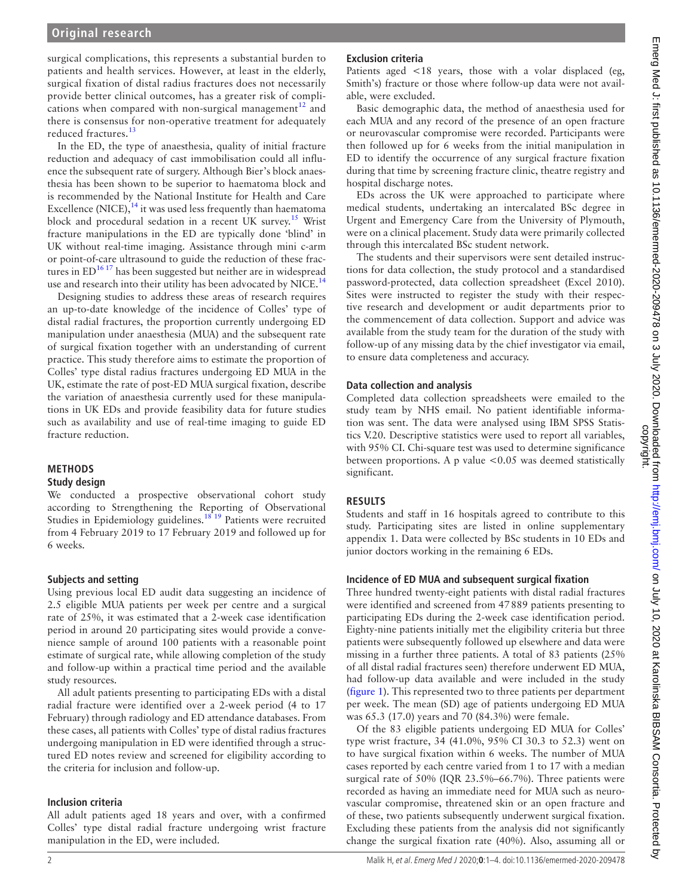# **Original research**

surgical complications, this represents a substantial burden to patients and health services. However, at least in the elderly, surgical fixation of distal radius fractures does not necessarily provide better clinical outcomes, has a greater risk of complications when compared with non-surgical management $12$  and there is consensus for non-operative treatment for adequately reduced fractures.<sup>[13](#page-3-11)</sup>

In the ED, the type of anaesthesia, quality of initial fracture reduction and adequacy of cast immobilisation could all influence the subsequent rate of surgery. Although Bier's block anaesthesia has been shown to be superior to haematoma block and is recommended by the National Institute for Health and Care Excellence  $(NICE)$ ,<sup>[14](#page-3-12)</sup> it was used less frequently than haematoma block and procedural sedation in a recent UK survey.[15](#page-3-13) Wrist fracture manipulations in the ED are typically done 'blind' in UK without real-time imaging. Assistance through mini c-arm or point-of-care ultrasound to guide the reduction of these fractures in  $ED^{16}$  17 has been suggested but neither are in widespread use and research into their utility has been advocated by NICE.<sup>[14](#page-3-12)</sup>

Designing studies to address these areas of research requires an up-to-date knowledge of the incidence of Colles' type of distal radial fractures, the proportion currently undergoing ED manipulation under anaesthesia (MUA) and the subsequent rate of surgical fixation together with an understanding of current practice. This study therefore aims to estimate the proportion of Colles' type distal radius fractures undergoing ED MUA in the UK, estimate the rate of post-ED MUA surgical fixation, describe the variation of anaesthesia currently used for these manipulations in UK EDs and provide feasibility data for future studies such as availability and use of real-time imaging to guide ED fracture reduction.

# **Methods**

## **Study design**

We conducted a prospective observational cohort study according to Strengthening the Reporting of Observational Studies in Epidemiology guidelines.[18 19](#page-3-15) Patients were recruited from 4 February 2019 to 17 February 2019 and followed up for 6 weeks.

## **Subjects and setting**

Using previous local ED audit data suggesting an incidence of 2.5 eligible MUA patients per week per centre and a surgical rate of 25%, it was estimated that a 2-week case identification period in around 20 participating sites would provide a convenience sample of around 100 patients with a reasonable point estimate of surgical rate, while allowing completion of the study and follow-up within a practical time period and the available study resources.

All adult patients presenting to participating EDs with a distal radial fracture were identified over a 2-week period (4 to 17 February) through radiology and ED attendance databases. From these cases, all patients with Colles' type of distal radius fractures undergoing manipulation in ED were identified through a structured ED notes review and screened for eligibility according to the criteria for inclusion and follow-up.

## **Inclusion criteria**

All adult patients aged 18 years and over, with a confirmed Colles' type distal radial fracture undergoing wrist fracture manipulation in the ED, were included.

# **Exclusion criteria**

Patients aged <18 years, those with a volar displaced (eg, Smith's) fracture or those where follow-up data were not available, were excluded.

Basic demographic data, the method of anaesthesia used for each MUA and any record of the presence of an open fracture or neurovascular compromise were recorded. Participants were then followed up for 6 weeks from the initial manipulation in ED to identify the occurrence of any surgical fracture fixation during that time by screening fracture clinic, theatre registry and hospital discharge notes.

EDs across the UK were approached to participate where medical students, undertaking an intercalated BSc degree in Urgent and Emergency Care from the University of Plymouth, were on a clinical placement. Study data were primarily collected through this intercalated BSc student network.

The students and their supervisors were sent detailed instructions for data collection, the study protocol and a standardised password-protected, data collection spreadsheet (Excel 2010). Sites were instructed to register the study with their respective research and development or audit departments prior to the commencement of data collection. Support and advice was available from the study team for the duration of the study with follow-up of any missing data by the chief investigator via email, to ensure data completeness and accuracy.

# **Data collection and analysis**

Completed data collection spreadsheets were emailed to the study team by NHS email. No patient identifiable information was sent. The data were analysed using IBM SPSS Statistics V.20. Descriptive statistics were used to report all variables, with 95% CI. Chi-square test was used to determine significance between proportions. A p value <0.05 was deemed statistically significant.

# **Results**

Students and staff in 16 hospitals agreed to contribute to this study. Participating sites are listed in [online supplementary](https://dx.doi.org/10.1136/emermed-2020-209478) [appendix 1](https://dx.doi.org/10.1136/emermed-2020-209478). Data were collected by BSc students in 10 EDs and junior doctors working in the remaining 6 EDs.

## **Incidence of ED MUA and subsequent surgical fixation**

Three hundred twenty-eight patients with distal radial fractures were identified and screened from 47889 patients presenting to participating EDs during the 2-week case identification period. Eighty-nine patients initially met the eligibility criteria but three patients were subsequently followed up elsewhere and data were missing in a further three patients. A total of 83 patients (25% of all distal radial fractures seen) therefore underwent ED MUA, had follow-up data available and were included in the study ([figure](#page-2-0) 1). This represented two to three patients per department per week. The mean (SD) age of patients undergoing ED MUA was 65.3 (17.0) years and 70 (84.3%) were female.

Of the 83 eligible patients undergoing ED MUA for Colles' type wrist fracture, 34 (41.0%, 95% CI 30.3 to 52.3) went on to have surgical fixation within 6 weeks. The number of MUA cases reported by each centre varied from 1 to 17 with a median surgical rate of 50% (IQR 23.5%–66.7%). Three patients were recorded as having an immediate need for MUA such as neurovascular compromise, threatened skin or an open fracture and of these, two patients subsequently underwent surgical fixation. Excluding these patients from the analysis did not significantly change the surgical fixation rate (40%). Also, assuming all or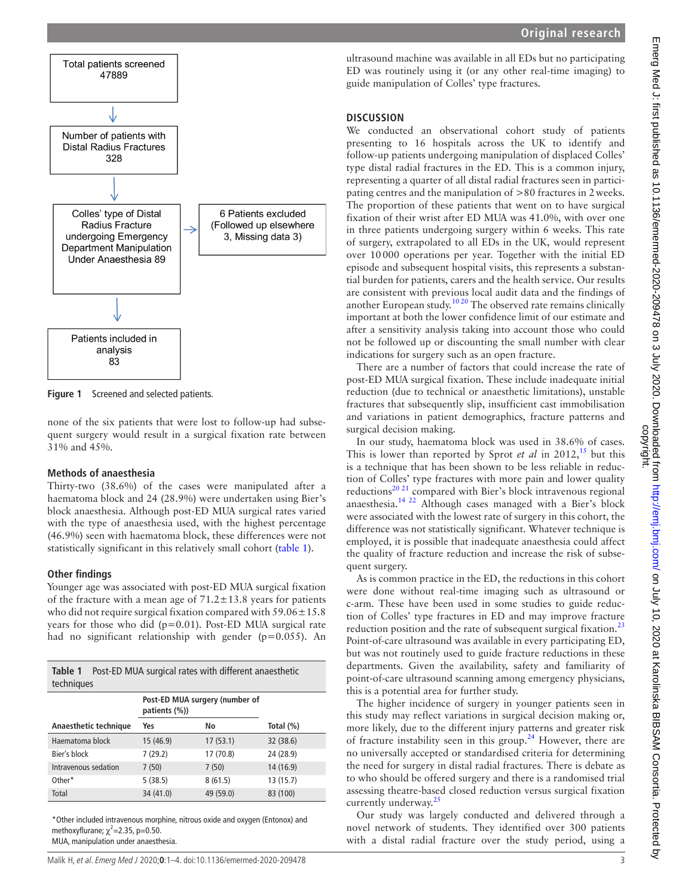

<span id="page-2-0"></span>**Figure 1** Screened and selected patients.

none of the six patients that were lost to follow-up had subsequent surgery would result in a surgical fixation rate between 31% and 45%.

#### **Methods of anaesthesia**

Thirty-two (38.6%) of the cases were manipulated after a haematoma block and 24 (28.9%) were undertaken using Bier's block anaesthesia. Although post-ED MUA surgical rates varied with the type of anaesthesia used, with the highest percentage (46.9%) seen with haematoma block, these differences were not statistically significant in this relatively small cohort [\(table](#page-2-1) 1).

## **Other findings**

Younger age was associated with post-ED MUA surgical fixation of the fracture with a mean age of  $71.2 \pm 13.8$  years for patients who did not require surgical fixation compared with  $59.06 \pm 15.8$ years for those who did  $(p=0.01)$ . Post-ED MUA surgical rate had no significant relationship with gender (p=0.055). An

<span id="page-2-1"></span>

|            | Table 1 Post-ED MUA surgical rates with different anaesthetic |  |  |
|------------|---------------------------------------------------------------|--|--|
| techniques |                                                               |  |  |

|                       | Post-ED MUA surgery (number of<br>patients (%)) |           |           |
|-----------------------|-------------------------------------------------|-----------|-----------|
| Anaesthetic technique | Yes                                             | No        | Total (%) |
| Haematoma block       | 15 (46.9)                                       | 17(53.1)  | 32 (38.6) |
| Bier's block          | 7(29.2)                                         | 17 (70.8) | 24 (28.9) |
| Intravenous sedation  | 7(50)                                           | 7(50)     | 14 (16.9) |
| Other*                | 5(38.5)                                         | 8(61.5)   | 13 (15.7) |
| Total                 | 34 (41.0)                                       | 49 (59.0) | 83 (100)  |

\*Other included intravenous morphine, nitrous oxide and oxygen (Entonox) and methoxyflurane;  $\chi^2$ =2.35, p=0.50. MUA, manipulation under anaesthesia.

ultrasound machine was available in all EDs but no participating ED was routinely using it (or any other real-time imaging) to guide manipulation of Colles' type fractures.

## **Discussion**

We conducted an observational cohort study of patients presenting to 16 hospitals across the UK to identify and follow-up patients undergoing manipulation of displaced Colles' type distal radial fractures in the ED. This is a common injury, representing a quarter of all distal radial fractures seen in participating centres and the manipulation of >80 fractures in 2weeks. The proportion of these patients that went on to have surgical fixation of their wrist after ED MUA was 41.0%, with over one in three patients undergoing surgery within 6 weeks. This rate of surgery, extrapolated to all EDs in the UK, would represent over 10000 operations per year. Together with the initial ED episode and subsequent hospital visits, this represents a substantial burden for patients, carers and the health service. Our results are consistent with previous local audit data and the findings of another European study.<sup>10 20</sup> The observed rate remains clinically important at both the lower confidence limit of our estimate and after a sensitivity analysis taking into account those who could not be followed up or discounting the small number with clear indications for surgery such as an open fracture.

There are a number of factors that could increase the rate of post-ED MUA surgical fixation. These include inadequate initial reduction (due to technical or anaesthetic limitations), unstable fractures that subsequently slip, insufficient cast immobilisation and variations in patient demographics, fracture patterns and surgical decision making.

In our study, haematoma block was used in 38.6% of cases. This is lower than reported by Sprot *et al* in  $2012$ <sup>15</sup>, but this is a technique that has been shown to be less reliable in reduction of Colles' type fractures with more pain and lower quality reductions<sup>20 21</sup> compared with Bier's block intravenous regional anaesthesia[.14 22](#page-3-12) Although cases managed with a Bier's block were associated with the lowest rate of surgery in this cohort, the difference was not statistically significant. Whatever technique is employed, it is possible that inadequate anaesthesia could affect the quality of fracture reduction and increase the risk of subsequent surgery.

As is common practice in the ED, the reductions in this cohort were done without real-time imaging such as ultrasound or c-arm. These have been used in some studies to guide reduction of Colles' type fractures in ED and may improve fracture reduction position and the rate of subsequent surgical fixation.<sup>[23](#page-3-17)</sup> Point-of-care ultrasound was available in every participating ED, but was not routinely used to guide fracture reductions in these departments. Given the availability, safety and familiarity of point-of-care ultrasound scanning among emergency physicians, this is a potential area for further study.

The higher incidence of surgery in younger patients seen in this study may reflect variations in surgical decision making or, more likely, due to the different injury patterns and greater risk of fracture instability seen in this group.<sup>[24](#page-3-18)</sup> However, there are no universally accepted or standardised criteria for determining the need for surgery in distal radial fractures. There is debate as to who should be offered surgery and there is a randomised trial assessing theatre-based closed reduction versus surgical fixation currently underway. $25$ 

Our study was largely conducted and delivered through a novel network of students. They identified over 300 patients with a distal radial fracture over the study period, using a